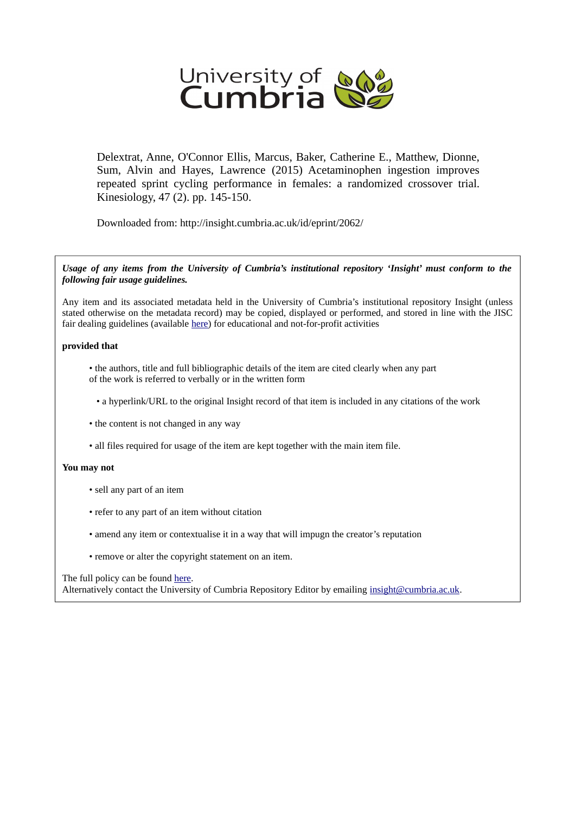

Delextrat, Anne, O'Connor Ellis, Marcus, Baker, Catherine E., Matthew, Dionne, Sum, Alvin and Hayes, Lawrence (2015) Acetaminophen ingestion improves repeated sprint cycling performance in females: a randomized crossover trial. Kinesiology, 47 (2). pp. 145-150.

Downloaded from: http://insight.cumbria.ac.uk/id/eprint/2062/

*Usage of any items from the University of Cumbria's institutional repository 'Insight' must conform to the following fair usage guidelines.*

Any item and its associated metadata held in the University of Cumbria's institutional repository Insight (unless stated otherwise on the metadata record) may be copied, displayed or performed, and stored in line with the JISC fair dealing guidelines (available [here\)](http://www.ukoln.ac.uk/services/elib/papers/pa/fair/) for educational and not-for-profit activities

### **provided that**

• the authors, title and full bibliographic details of the item are cited clearly when any part of the work is referred to verbally or in the written form

• a hyperlink/URL to the original Insight record of that item is included in any citations of the work

- the content is not changed in any way
- all files required for usage of the item are kept together with the main item file.

### **You may not**

- sell any part of an item
- refer to any part of an item without citation
- amend any item or contextualise it in a way that will impugn the creator's reputation
- remove or alter the copyright statement on an item.

### The full policy can be found [here.](http://insight.cumbria.ac.uk/legal.html#section5)

Alternatively contact the University of Cumbria Repository Editor by emailing [insight@cumbria.ac.uk.](mailto:insight@cumbria.ac.uk)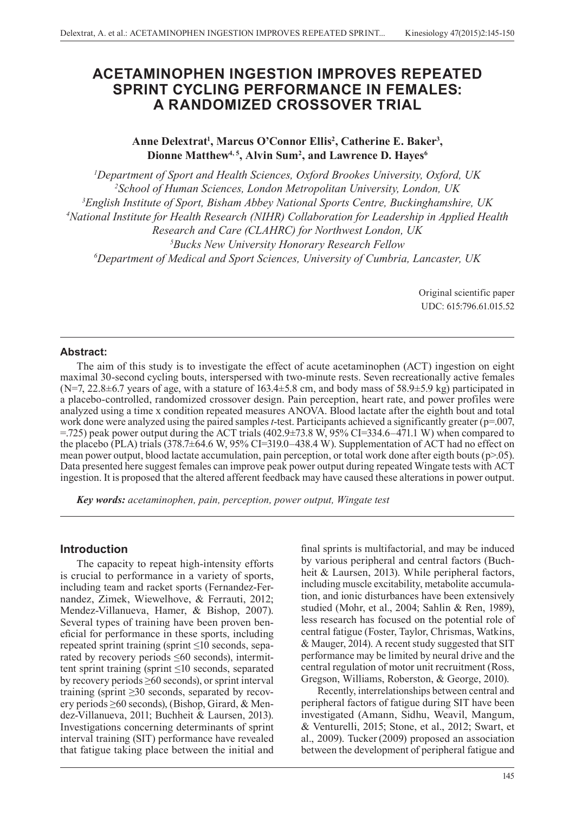# **ACETAMINOPHEN INGESTION IMPROVES REPEATED SPRINT CYCLING PERFORMANCE IN FEMALES: A RANDOMIZED CROSSOVER TRIAL**

## Anne Delextrat<sup>1</sup>, Marcus O'Connor Ellis<sup>2</sup>, Catherine E. Baker<sup>3</sup>, **Dionne Matthew4, 5, Alvin Sum2 , and Lawrence D. Hayes6**

 *Department of Sport and Health Sciences, Oxford Brookes University, Oxford, UK School of Human Sciences, London Metropolitan University, London, UK English Institute of Sport, Bisham Abbey National Sports Centre, Buckinghamshire, UK National Institute for Health Research (NIHR) Collaboration for Leadership in Applied Health Research and Care (CLAHRC) for Northwest London, UK Bucks New University Honorary Research Fellow Department of Medical and Sport Sciences, University of Cumbria, Lancaster, UK*

> Original scientific paper UDC: 615:796.61.015.52

### **Abstract:**

The aim of this study is to investigate the effect of acute acetaminophen (ACT) ingestion on eight maximal 30-second cycling bouts, interspersed with two-minute rests. Seven recreationally active females  $(N=7, 22.8\pm6.7)$  years of age, with a stature of 163.4 $\pm$ 5.8 cm, and body mass of 58.9 $\pm$ 5.9 kg) participated in a placebo-controlled, randomized crossover design. Pain perception, heart rate, and power profiles were analyzed using a time x condition repeated measures ANOVA. Blood lactate after the eighth bout and total work done were analyzed using the paired samples *t*-test. Participants achieved a significantly greater (p=.007, =.725) peak power output during the ACT trials (402.9±73.8 W, 95% CI=334.6–471.1 W) when compared to the placebo (PLA) trials  $(378.7\pm 64.6 \text{ W}, 95\% \text{ CI} = 319.0 - 438.4 \text{ W})$ . Supplementation of ACT had no effect on mean power output, blood lactate accumulation, pain perception, or total work done after eigth bouts (p>.05). Data presented here suggest females can improve peak power output during repeated Wingate tests with ACT ingestion. It is proposed that the altered afferent feedback may have caused these alterations in power output.

*Key words: acetaminophen, pain, perception, power output, Wingate test*

### **Introduction**

The capacity to repeat high-intensity efforts is crucial to performance in a variety of sports, including team and racket sports (Fernandez-Fernandez, Zimek, Wiewelhove, & Ferrauti, 2012; Mendez-Villanueva, Hamer, & Bishop, 2007). Several types of training have been proven beneficial for performance in these sports, including repeated sprint training (sprint ≤10 seconds, separated by recovery periods  $\leq 60$  seconds), intermittent sprint training (sprint  $\leq 10$  seconds, separated by recovery periods  $\geq 60$  seconds), or sprint interval training (sprint  $\geq$ 30 seconds, separated by recovery periods ≥60 seconds), (Bishop, Girard, & Mendez-Villanueva, 2011; Buchheit & Laursen, 2013). Investigations concerning determinants of sprint interval training (SIT) performance have revealed that fatigue taking place between the initial and

final sprints is multifactorial, and may be induced by various peripheral and central factors (Buchheit & Laursen, 2013). While peripheral factors, including muscle excitability, metabolite accumulation, and ionic disturbances have been extensively studied (Mohr, et al., 2004; Sahlin & Ren, 1989), less research has focused on the potential role of central fatigue (Foster, Taylor, Chrismas, Watkins, & Mauger, 2014). A recent study suggested that SIT performance may be limited by neural drive and the central regulation of motor unit recruitment (Ross, Gregson, Williams, Roberston, & George, 2010).

Recently, interrelationships between central and peripheral factors of fatigue during SIT have been investigated (Amann, Sidhu, Weavil, Mangum, & Venturelli, 2015; Stone, et al., 2012; Swart, et al., 2009). Tucker (2009) proposed an association between the development of peripheral fatigue and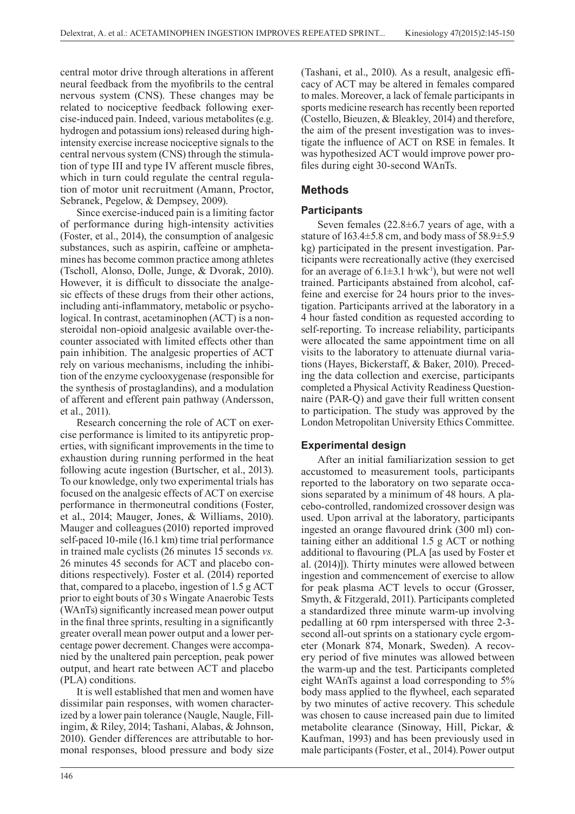central motor drive through alterations in afferent neural feedback from the myofibrils to the central nervous system (CNS). These changes may be related to nociceptive feedback following exercise-induced pain. Indeed, various metabolites (e.g. hydrogen and potassium ions) released during highintensity exercise increase nociceptive signals to the central nervous system (CNS) through the stimulation of type III and type IV afferent muscle fibres, which in turn could regulate the central regulation of motor unit recruitment (Amann, Proctor, Sebranek, Pegelow, & Dempsey, 2009).

Since exercise-induced pain is a limiting factor of performance during high-intensity activities (Foster, et al., 2014), the consumption of analgesic substances, such as aspirin, caffeine or amphetamines has become common practice among athletes (Tscholl, Alonso, Dolle, Junge, & Dvorak, 2010). However, it is difficult to dissociate the analgesic effects of these drugs from their other actions, including anti-inflammatory, metabolic or psychological. In contrast, acetaminophen (ACT) is a nonsteroidal non-opioid analgesic available over-thecounter associated with limited effects other than pain inhibition. The analgesic properties of ACT rely on various mechanisms, including the inhibition of the enzyme cyclooxygenase (responsible for the synthesis of prostaglandins), and a modulation of afferent and efferent pain pathway (Andersson, et al., 2011).

Research concerning the role of ACT on exercise performance is limited to its antipyretic properties, with significant improvements in the time to exhaustion during running performed in the heat following acute ingestion (Burtscher, et al., 2013). To our knowledge, only two experimental trials has focused on the analgesic effects of ACT on exercise performance in thermoneutral conditions (Foster, et al., 2014; Mauger, Jones, & Williams, 2010). Mauger and colleagues(2010) reported improved self-paced 10-mile (16.1 km) time trial performance in trained male cyclists (26 minutes 15 seconds *vs.* 26 minutes 45 seconds for ACT and placebo conditions respectively). Foster et al. (2014) reported that, compared to a placebo, ingestion of 1.5 g ACT prior to eight bouts of 30 s Wingate Anaerobic Tests (WAnTs) significantly increased mean power output in the final three sprints, resulting in a significantly greater overall mean power output and a lower percentage power decrement. Changes were accompanied by the unaltered pain perception, peak power output, and heart rate between ACT and placebo (PLA) conditions.

It is well established that men and women have dissimilar pain responses, with women characterized by a lower pain tolerance (Naugle, Naugle, Fillingim, & Riley, 2014; Tashani, Alabas, & Johnson, 2010). Gender differences are attributable to hormonal responses, blood pressure and body size

(Tashani, et al., 2010). As a result, analgesic efficacy of ACT may be altered in females compared to males. Moreover, a lack of female participants in sports medicine research has recently been reported (Costello, Bieuzen, & Bleakley, 2014) and therefore, the aim of the present investigation was to investigate the influence of ACT on RSE in females. It was hypothesized ACT would improve power profiles during eight 30-second WAnTs.

## **Methods**

## **Participants**

Seven females  $(22.8\pm6.7)$  years of age, with a stature of  $163.4 \pm 5.8$  cm, and body mass of  $58.9 \pm 5.9$ kg) participated in the present investigation. Participants were recreationally active (they exercised for an average of  $6.1\pm3.1$  h·wk<sup>-1</sup>), but were not well trained. Participants abstained from alcohol, caffeine and exercise for 24 hours prior to the investigation. Participants arrived at the laboratory in a 4 hour fasted condition as requested according to self-reporting. To increase reliability, participants were allocated the same appointment time on all visits to the laboratory to attenuate diurnal variations (Hayes, Bickerstaff, & Baker, 2010). Preceding the data collection and exercise, participants completed a Physical Activity Readiness Questionnaire (PAR-Q) and gave their full written consent to participation. The study was approved by the London Metropolitan University Ethics Committee.

## **Experimental design**

After an initial familiarization session to get accustomed to measurement tools, participants reported to the laboratory on two separate occasions separated by a minimum of 48 hours. A placebo-controlled, randomized crossover design was used. Upon arrival at the laboratory, participants ingested an orange flavoured drink (300 ml) containing either an additional 1.5 g ACT or nothing additional to flavouring (PLA [as used by Foster et al. (2014)]). Thirty minutes were allowed between ingestion and commencement of exercise to allow for peak plasma ACT levels to occur (Grosser, Smyth, & Fitzgerald, 2011). Participants completed a standardized three minute warm-up involving pedalling at 60 rpm interspersed with three 2-3 second all-out sprints on a stationary cycle ergometer (Monark 874, Monark, Sweden). A recovery period of five minutes was allowed between the warm-up and the test. Participants completed eight WAnTs against a load corresponding to 5% body mass applied to the flywheel, each separated by two minutes of active recovery. This schedule was chosen to cause increased pain due to limited metabolite clearance (Sinoway, Hill, Pickar, & Kaufman, 1993) and has been previously used in male participants (Foster, et al., 2014).Power output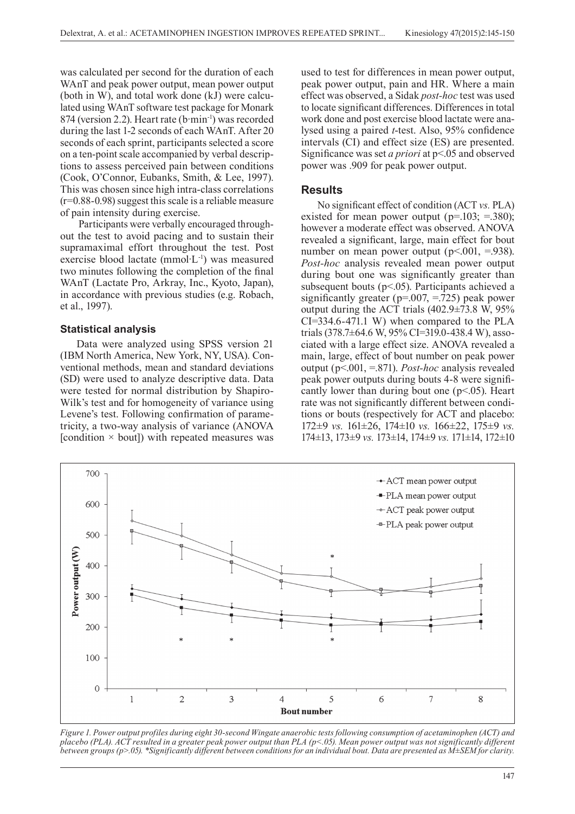was calculated per second for the duration of each WAnT and peak power output, mean power output (both in W), and total work done (kJ) were calculated using WAnT software test package for Monark 874 (version 2.2). Heart rate (b·min-1) was recorded during the last 1-2 seconds of each WAnT. After 20 seconds of each sprint, participants selected a score on a ten-point scale accompanied by verbal descriptions to assess perceived pain between conditions (Cook, O'Connor, Eubanks, Smith, & Lee, 1997). This was chosen since high intra-class correlations (r=0.88-0.98) suggest this scale is a reliable measure of pain intensity during exercise.

 Participants were verbally encouraged throughout the test to avoid pacing and to sustain their supramaximal effort throughout the test. Post exercise blood lactate (mmol·L-1) was measured two minutes following the completion of the final WAnT (Lactate Pro, Arkray, Inc., Kyoto, Japan), in accordance with previous studies (e.g. Robach, et al., 1997).

#### **Statistical analysis**

Data were analyzed using SPSS version 21 (IBM North America, New York, NY, USA). Conventional methods, mean and standard deviations (SD) were used to analyze descriptive data. Data were tested for normal distribution by Shapiro-Wilk's test and for homogeneity of variance using Levene's test. Following confirmation of parametricity, a two-way analysis of variance (ANOVA [condition  $\times$  bout]) with repeated measures was

used to test for differences in mean power output, peak power output, pain and HR. Where a main effect was observed, a Sidak *post-hoc* test was used to locate significant differences. Differences in total work done and post exercise blood lactate were analysed using a paired *t*-test. Also, 95% confidence intervals (CI) and effect size (ES) are presented. Significance was set *a priori* at p<.05 and observed power was .909 for peak power output.

### **Results**

No significant effect of condition (ACT *vs.* PLA) existed for mean power output ( $p=103$ ;  $=380$ ); however a moderate effect was observed. ANOVA revealed a significant, large, main effect for bout number on mean power output ( $p<.001$ , =.938). *Post-hoc* analysis revealed mean power output during bout one was significantly greater than subsequent bouts ( $p<05$ ). Participants achieved a significantly greater ( $p=0.007$ ,  $=0.725$ ) peak power output during the ACT trials (402.9±73.8 W, 95% CI=334.6-471.1 W) when compared to the PLA trials (378.7±64.6 W, 95% CI=319.0-438.4 W), associated with a large effect size. ANOVA revealed a main, large, effect of bout number on peak power output (p<.001, =.871). *Post-hoc* analysis revealed peak power outputs during bouts 4-8 were significantly lower than during bout one  $(p<0.05)$ . Heart rate was not significantly different between conditions or bouts (respectively for ACT and placebo: 172±9 *vs.* 161±26, 174±10 *vs.* 166±22, 175±9 *vs.* 174±13, 173±9 *vs.* 173±14, 174±9 *vs.* 171±14, 172±10



*Figure 1. Power output profiles during eight 30-second Wingate anaerobic tests following consumption of acetaminophen (ACT) and placebo (PLA). ACT resulted in a greater peak power output than PLA (p<.05). Mean power output was not significantly different between groups (p>.05). \*Significantly different between conditions for an individual bout. Data are presented as M±SEM for clarity.*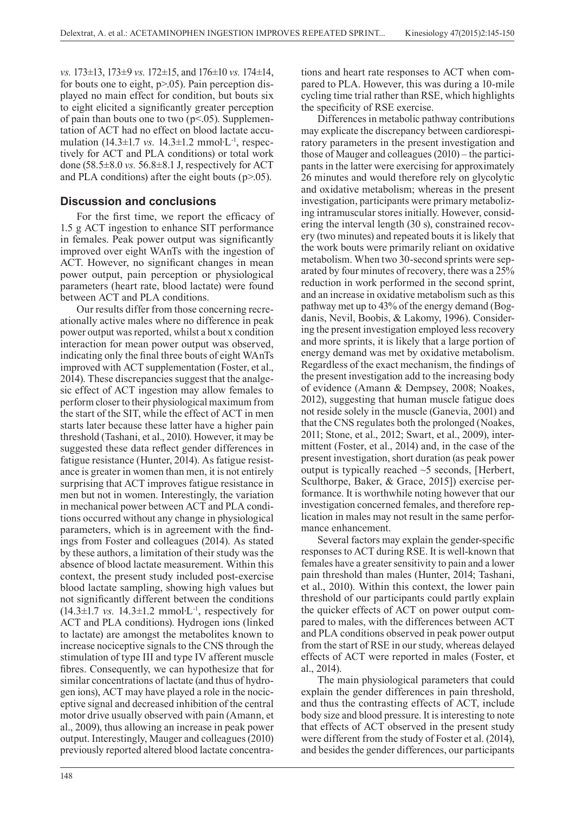*vs.* 173±13, 173±9 *vs.* 172±15, and 176±10 *vs.* 174±14, for bouts one to eight,  $p > 0.05$ ). Pain perception displayed no main effect for condition, but bouts six to eight elicited a significantly greater perception of pain than bouts one to two  $(p<.05)$ . Supplementation of ACT had no effect on blood lactate accumulation (14.3±1.7 *vs.* 14.3±1.2 mmol∙L-1, respectively for ACT and PLA conditions) or total work done (58.5±8.0 *vs.* 56.8±8.1 J, respectively for ACT and PLA conditions) after the eight bouts  $(p>0.05)$ .

### **Discussion and conclusions**

For the first time, we report the efficacy of 1.5 g ACT ingestion to enhance SIT performance in females. Peak power output was significantly improved over eight WAnTs with the ingestion of ACT. However, no significant changes in mean power output, pain perception or physiological parameters (heart rate, blood lactate) were found between ACT and PLA conditions.

Our results differ from those concerning recreationally active males where no difference in peak power output was reported, whilst a bout x condition interaction for mean power output was observed, indicating only the final three bouts of eight WAnTs improved with ACT supplementation (Foster, et al., 2014). These discrepancies suggest that the analgesic effect of ACT ingestion may allow females to perform closer to their physiological maximum from the start of the SIT, while the effect of ACT in men starts later because these latter have a higher pain threshold (Tashani, et al., 2010). However, it may be suggested these data reflect gender differences in fatigue resistance (Hunter, 2014). As fatigue resistance is greater in women than men, it is not entirely surprising that ACT improves fatigue resistance in men but not in women. Interestingly, the variation in mechanical power between ACT and PLA conditions occurred without any change in physiological parameters, which is in agreement with the findings from Foster and colleagues (2014). As stated by these authors, a limitation of their study was the absence of blood lactate measurement. Within this context, the present study included post-exercise blood lactate sampling, showing high values but not significantly different between the conditions (14.3±1.7 *vs.* 14.3±1.2 mmol∙L-1, respectively for ACT and PLA conditions). Hydrogen ions (linked to lactate) are amongst the metabolites known to increase nociceptive signals to the CNS through the stimulation of type III and type IV afferent muscle fibres. Consequently, we can hypothesize that for similar concentrations of lactate (and thus of hydrogen ions), ACT may have played a role in the nociceptive signal and decreased inhibition of the central motor drive usually observed with pain (Amann, et al., 2009), thus allowing an increase in peak power output. Interestingly, Mauger and colleagues (2010) previously reported altered blood lactate concentrations and heart rate responses to ACT when compared to PLA. However, this was during a 10-mile cycling time trial rather than RSE, which highlights the specificity of RSE exercise.

Differences in metabolic pathway contributions may explicate the discrepancy between cardiorespiratory parameters in the present investigation and those of Mauger and colleagues (2010) – the participants in the latter were exercising for approximately 26 minutes and would therefore rely on glycolytic and oxidative metabolism; whereas in the present investigation, participants were primary metabolizing intramuscular stores initially. However, considering the interval length (30 s), constrained recovery (two minutes) and repeated bouts it is likely that the work bouts were primarily reliant on oxidative metabolism. When two 30-second sprints were separated by four minutes of recovery, there was a 25% reduction in work performed in the second sprint, and an increase in oxidative metabolism such as this pathway met up to 43% of the energy demand (Bogdanis, Nevil, Boobis, & Lakomy, 1996). Considering the present investigation employed less recovery and more sprints, it is likely that a large portion of energy demand was met by oxidative metabolism. Regardless of the exact mechanism, the findings of the present investigation add to the increasing body of evidence (Amann & Dempsey, 2008; Noakes, 2012), suggesting that human muscle fatigue does not reside solely in the muscle (Ganevia, 2001) and that the CNS regulates both the prolonged (Noakes, 2011; Stone, et al., 2012; Swart, et al., 2009), intermittent (Foster, et al., 2014) and, in the case of the present investigation, short duration (as peak power output is typically reached ~5 seconds, [Herbert, Sculthorpe, Baker, & Grace, 2015]) exercise performance. It is worthwhile noting however that our investigation concerned females, and therefore replication in males may not result in the same performance enhancement.

Several factors may explain the gender-specific responses to ACT during RSE. It is well-known that females have a greater sensitivity to pain and a lower pain threshold than males (Hunter, 2014; Tashani, et al., 2010). Within this context, the lower pain threshold of our participants could partly explain the quicker effects of ACT on power output compared to males, with the differences between ACT and PLA conditions observed in peak power output from the start of RSE in our study, whereas delayed effects of ACT were reported in males (Foster, et al., 2014).

The main physiological parameters that could explain the gender differences in pain threshold, and thus the contrasting effects of ACT, include body size and blood pressure. It is interesting to note that effects of ACT observed in the present study were different from the study of Foster et al. (2014), and besides the gender differences, our participants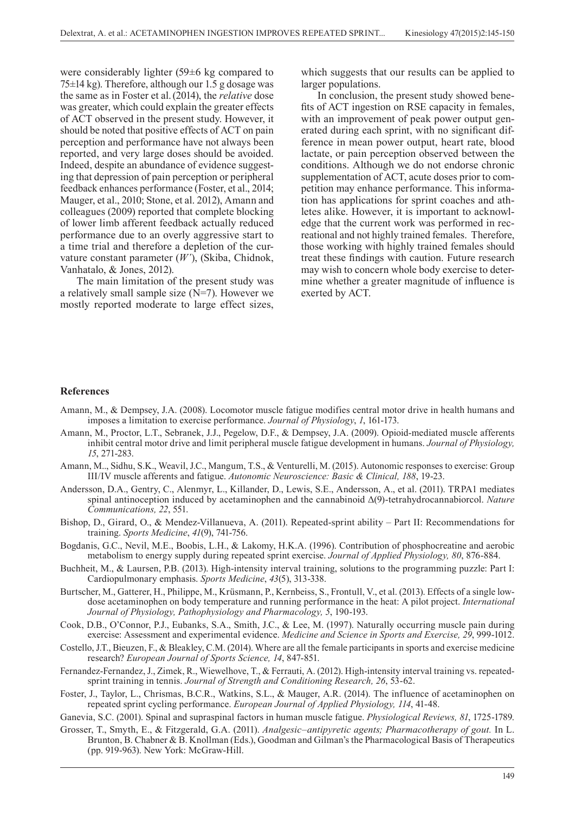were considerably lighter (59±6 kg compared to 75±14 kg). Therefore, although our 1.5 g dosage was the same as in Foster et al.(2014), the *relative* dose was greater, which could explain the greater effects of ACT observed in the present study. However, it should be noted that positive effects of ACT on pain perception and performance have not always been reported, and very large doses should be avoided. Indeed, despite an abundance of evidence suggesting that depression of pain perception or peripheral feedback enhances performance (Foster, et al., 2014; Mauger, et al., 2010; Stone, et al. 2012), Amann and colleagues (2009) reported that complete blocking of lower limb afferent feedback actually reduced performance due to an overly aggressive start to a time trial and therefore a depletion of the curvature constant parameter (*W'*), (Skiba, Chidnok, Vanhatalo, & Jones, 2012).

The main limitation of the present study was a relatively small sample size (N=7). However we mostly reported moderate to large effect sizes,

which suggests that our results can be applied to larger populations.

In conclusion, the present study showed benefits of ACT ingestion on RSE capacity in females, with an improvement of peak power output generated during each sprint, with no significant difference in mean power output, heart rate, blood lactate, or pain perception observed between the conditions. Although we do not endorse chronic supplementation of ACT, acute doses prior to competition may enhance performance. This information has applications for sprint coaches and athletes alike. However, it is important to acknowledge that the current work was performed in recreational and not highly trained females. Therefore, those working with highly trained females should treat these findings with caution. Future research may wish to concern whole body exercise to determine whether a greater magnitude of influence is exerted by ACT.

### **References**

- Amann, M., & Dempsey, J.A. (2008). Locomotor muscle fatigue modifies central motor drive in health humans and imposes a limitation to exercise performance. *Journal of Physiology*, *1*, 161-173.
- Amann, M., Proctor, L.T., Sebranek, J.J., Pegelow, D.F., & Dempsey, J.A. (2009). Opioid-mediated muscle afferents inhibit central motor drive and limit peripheral muscle fatigue development in humans. *Journal of Physiology, 15*, 271-283.
- Amann, M.., Sidhu, S.K., Weavil, J.C., Mangum, T.S., & Venturelli, M. (2015). Autonomic responses to exercise: Group III/IV muscle afferents and fatigue. *Autonomic Neuroscience: Basic & Clinical, 188*, 19-23.
- Andersson, D.A., Gentry, C., Alenmyr, L., Killander, D., Lewis, S.E., Andersson, A., et al. (2011). TRPA1 mediates spinal antinoception induced by acetaminophen and the cannabinoid Δ(9)-tetrahydrocannabiorcol. *Nature Communications, 22*, 551.
- Bishop, D., Girard, O., & Mendez-Villanueva, A. (2011). Repeated-sprint ability Part II: Recommendations for training. *Sports Medicine*, *41*(9), 741-756.
- Bogdanis, G.C., Nevil, M.E., Boobis, L.H., & Lakomy, H.K.A. (1996). Contribution of phosphocreatine and aerobic metabolism to energy supply during repeated sprint exercise. *Journal of Applied Physiology, 80*, 876-884.
- Buchheit, M., & Laursen, P.B. (2013). High-intensity interval training, solutions to the programming puzzle: Part I: Cardiopulmonary emphasis. *Sports Medicine*, *43*(5), 313-338.
- Burtscher, M., Gatterer, H., Philippe, M., Krüsmann, P., Kernbeiss, S., Frontull, V., et al. (2013). Effects of a single lowdose acetaminophen on body temperature and running performance in the heat: A pilot project. *International Journal of Physiology, Pathophysiology and Pharmacology, 5*, 190-193.
- Cook, D.B., O'Connor, P.J., Eubanks, S.A., Smith, J.C., & Lee, M. (1997). Naturally occurring muscle pain during exercise: Assessment and experimental evidence. *Medicine and Science in Sports and Exercise, 29*, 999-1012.
- Costello, J.T., Bieuzen, F., & Bleakley, C.M. (2014). Where are all the female participants in sports and exercise medicine research? *European Journal of Sports Science, 14*, 847-851.
- Fernandez-Fernandez, J., Zimek, R., Wiewelhove, T., & Ferrauti, A. (2012). High-intensity interval training vs. repeatedsprint training in tennis. *Journal of Strength and Conditioning Research, 26*, 53-62.
- Foster, J., Taylor, L., Chrismas, B.C.R., Watkins, S.L., & Mauger, A.R. (2014). The influence of acetaminophen on repeated sprint cycling performance. *European Journal of Applied Physiology, 114*, 41-48.
- Ganevia, S.C. (2001). Spinal and supraspinal factors in human muscle fatigue. *Physiological Reviews, 81*, 1725-1789.
- Grosser, T., Smyth, E., & Fitzgerald, G.A. (2011). *Analgesic–antipyretic agents; Pharmacotherapy of gout.* In L. Brunton, B. Chabner & B. Knollman (Eds.), Goodman and Gilman's the Pharmacological Basis of Therapeutics (pp. 919-963). New York: McGraw-Hill.